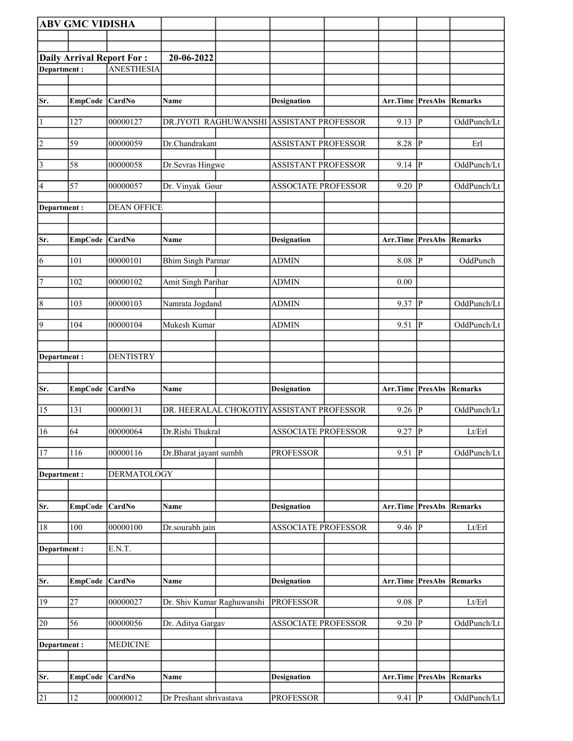|                    | <b>ABV GMC VIDISHA</b> |                                  |                            |                                           |                                 |                         |             |
|--------------------|------------------------|----------------------------------|----------------------------|-------------------------------------------|---------------------------------|-------------------------|-------------|
|                    |                        |                                  |                            |                                           |                                 |                         |             |
|                    |                        | <b>Daily Arrival Report For:</b> | 20-06-2022                 |                                           |                                 |                         |             |
| <b>Department:</b> |                        | <b>ANESTHESIA</b>                |                            |                                           |                                 |                         |             |
|                    |                        |                                  |                            |                                           |                                 |                         |             |
| Sr.                | EmpCode CardNo         |                                  | <b>Name</b>                | <b>Designation</b>                        | Arr.Time PresAbs                |                         | Remarks     |
|                    |                        |                                  |                            |                                           |                                 |                         |             |
| $\vert$ 1          | 127                    | 00000127                         | DR.JYOTI RAGHUWANSHI       | <b>ASSISTANT PROFESSOR</b>                | 9.13                            | $\overline{P}$          | OddPunch/Lt |
| $\overline{2}$     | 59                     | 00000059                         | Dr.Chandrakant             | <b>ASSISTANT PROFESSOR</b>                | 8.28                            | P                       | Erl         |
| $\sqrt{3}$         | 58                     | 00000058                         | Dr.Sevras Hingwe           | <b>ASSISTANT PROFESSOR</b>                | 9.14                            | <sup> </sup> P          | OddPunch/Lt |
| 4                  | 57                     | 00000057                         | Dr. Vinyak Gour            | <b>ASSOCIATE PROFESSOR</b>                | 9.20                            | P                       | OddPunch/Lt |
| Department :       |                        | <b>DEAN OFFICE</b>               |                            |                                           |                                 |                         |             |
| Sr.                | EmpCode CardNo         |                                  | Name                       | <b>Designation</b>                        | <b>Arr.Time PresAbs Remarks</b> |                         |             |
| 6                  | 101                    | 00000101                         | <b>Bhim Singh Parmar</b>   | <b>ADMIN</b>                              | 8.08                            | $\overline{P}$          | OddPunch    |
| $\overline{7}$     | 102                    | 00000102                         | Amit Singh Parihar         | <b>ADMIN</b>                              | 0.00                            |                         |             |
| 8                  | 103                    | 00000103                         | Namrata Jogdand            | <b>ADMIN</b>                              | 9.37                            | $\vert$ P               | OddPunch/Lt |
| $\vert$ 9          | 104                    | 00000104                         | Mukesh Kumar               | <b>ADMIN</b>                              | 9.51                            | P                       | OddPunch/Lt |
|                    |                        |                                  |                            |                                           |                                 |                         |             |
| Department :       |                        | <b>DENTISTRY</b>                 |                            |                                           |                                 |                         |             |
| Sr.                | <b>EmpCode</b>         | <b>CardNo</b>                    | Name                       | <b>Designation</b>                        | Arr.Time                        | PresAbs                 | Remarks     |
| 15                 | 131                    | 00000131                         |                            | DR. HEERALAL CHOKOTIY ASSISTANT PROFESSOR | 9.26                            | ${\bf P}$               | OddPunch/Lt |
| 16                 | 64                     | 00000064                         | Dr.Rishi Thukral           | <b>ASSOCIATE PROFESSOR</b>                | 9.27                            | $\overline{P}$          | Lt/Erl      |
| $\overline{17}$    | 116                    | 00000116                         |                            |                                           |                                 |                         |             |
| Department:        |                        |                                  | Dr.Bharat jayant sumbh     | <b>PROFESSOR</b>                          | 9.51                            | $ {\bf P} $             | OddPunch/Lt |
|                    |                        | <b>DERMATOLOGY</b>               |                            |                                           |                                 |                         |             |
| Sr.                | EmpCode                | <b>CardNo</b>                    | Name                       | <b>Designation</b>                        | Arr.Time PresAbs                |                         | Remarks     |
| 18                 | 100                    | 00000100                         | Dr.sourabh jain            | <b>ASSOCIATE PROFESSOR</b>                | 9.46                            | $\mathbf P$             | Lt/Erl      |
| Department:        |                        | E.N.T.                           |                            |                                           |                                 |                         |             |
|                    |                        |                                  |                            |                                           |                                 |                         |             |
| Sr.                | <b>EmpCode</b>         | <b>CardNo</b>                    | Name                       | <b>Designation</b>                        | <b>Arr.Time PresAbs Remarks</b> |                         |             |
| 19                 | $\overline{27}$        | 00000027                         | Dr. Shiv Kumar Raghuwanshi | <b>PROFESSOR</b>                          | 9.08                            | $\overline{P}$          | Lt/Erl      |
| 20                 | 56                     | 00000056                         | Dr. Aditya Gargav          | <b>ASSOCIATE PROFESSOR</b>                | 9.20                            | $\overline{\mathbb{P}}$ | OddPunch/Lt |
| Department:        |                        | <b>MEDICINE</b>                  |                            |                                           |                                 |                         |             |
|                    |                        |                                  |                            |                                           |                                 |                         |             |
| Sr.                | EmpCode                | <b>CardNo</b>                    | Name                       | <b>Designation</b>                        | Arr.Time PresAbs                |                         | Remarks     |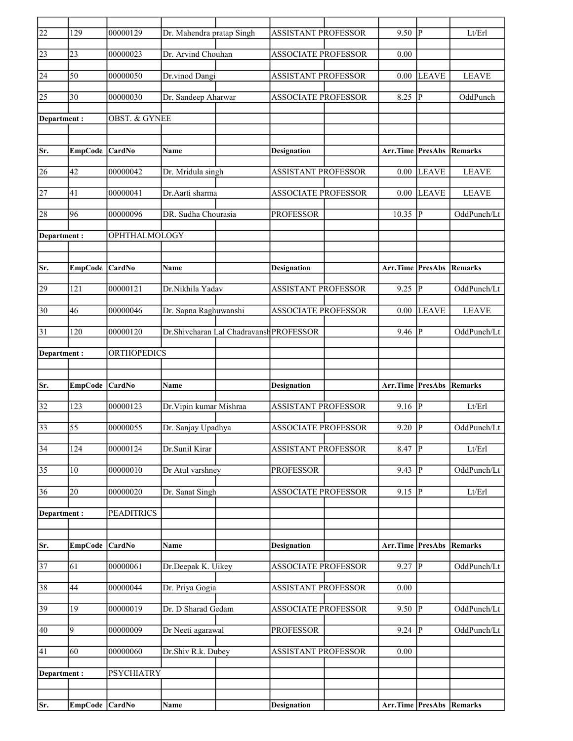| $\overline{22}$ | 129              | 00000129                 | Dr. Mahendra pratap Singh |                                         | <b>ASSISTANT PROFESSOR</b> | 9.50                            | $ {\bf p} $    | Lt/Erl       |
|-----------------|------------------|--------------------------|---------------------------|-----------------------------------------|----------------------------|---------------------------------|----------------|--------------|
| 23              | 23               | 00000023                 | Dr. Arvind Chouhan        |                                         | <b>ASSOCIATE PROFESSOR</b> | 0.00                            |                |              |
| $\overline{24}$ | 50               | 00000050                 | Dr.vinod Dangi            |                                         | <b>ASSISTANT PROFESSOR</b> | 0.00                            | <b>LEAVE</b>   | <b>LEAVE</b> |
| $ 25\rangle$    | 30               | 00000030                 | Dr. Sandeep Aharwar       |                                         | <b>ASSOCIATE PROFESSOR</b> | 8.25                            | $\overline{P}$ | OddPunch     |
| Department:     |                  | <b>OBST. &amp; GYNEE</b> |                           |                                         |                            |                                 |                |              |
|                 |                  |                          |                           |                                         |                            |                                 |                |              |
| Sr.             | <b>EmpCode</b>   | CardNo                   | Name                      |                                         | <b>Designation</b>         | <b>Arr.Time PresAbs</b>         |                | Remarks      |
| 26              | 42               | 00000042                 | Dr. Mridula singh         |                                         | <b>ASSISTANT PROFESSOR</b> | 0.00                            | <b>LEAVE</b>   | <b>LEAVE</b> |
| 27              | 41               | 00000041                 | Dr.Aarti sharma           |                                         | <b>ASSOCIATE PROFESSOR</b> | 0.00                            | LEAVE          | <b>LEAVE</b> |
| 28              | 96               | 00000096                 | DR. Sudha Chourasia       |                                         | <b>PROFESSOR</b>           | 10.35                           | $\overline{P}$ | OddPunch/Lt  |
| Department:     |                  | OPHTHALMOLOGY            |                           |                                         |                            |                                 |                |              |
|                 |                  |                          |                           |                                         |                            |                                 |                |              |
| Sr.             | <b>EmpCode</b>   | CardNo                   | Name                      |                                         | <b>Designation</b>         | Arr.Time                        | <b>PresAbs</b> | Remarks      |
| 29              | 121              | 00000121                 | Dr.Nikhila Yadav          |                                         | <b>ASSISTANT PROFESSOR</b> | 9.25                            | $\overline{P}$ | OddPunch/Lt  |
| 30              | 46               | 00000046                 | Dr. Sapna Raghuwanshi     |                                         | <b>ASSOCIATE PROFESSOR</b> | 0.00                            | <b>LEAVE</b>   | <b>LEAVE</b> |
| 31              | 120              | 00000120                 |                           | Dr.Shivcharan Lal Chadravansh PROFESSOR |                            | 9.46                            | $\mathbf{P}$   | OddPunch/Lt  |
| Department:     |                  | <b>ORTHOPEDICS</b>       |                           |                                         |                            |                                 |                |              |
|                 |                  |                          |                           |                                         |                            |                                 |                |              |
| Sr.             | EmpCode          | CardNo                   | Name                      |                                         | <b>Designation</b>         | <b>Arr.Time PresAbs Remarks</b> |                |              |
| 32              | 123              | 00000123                 | Dr. Vipin kumar Mishraa   |                                         | <b>ASSISTANT PROFESSOR</b> | 9.16                            | <sup> </sup> P | Lt/Erl       |
| 33              | 55               | 00000055                 | Dr. Sanjay Upadhya        |                                         | <b>ASSOCIATE PROFESSOR</b> | 9.20                            | P              | OddPunch/Lt  |
| $\overline{34}$ | $\overline{124}$ | 00000124                 | Dr.Sunil Kirar            |                                         | <b>ASSISTANT PROFESSOR</b> | 8.47                            | $\overline{P}$ | Lt/Erl       |
| 35              | 10               | 00000010                 | Dr Atul varshney          |                                         | <b>PROFESSOR</b>           | 9.43                            | $\mathbf{P}$   | OddPunch/Lt  |
| 36              | 20               | 00000020                 | Dr. Sanat Singh           |                                         | <b>ASSOCIATE PROFESSOR</b> | 9.15                            | $ {\bf p} $    | Lt/Erl       |
| Department:     |                  | <b>PEADITRICS</b>        |                           |                                         |                            |                                 |                |              |
|                 |                  |                          |                           |                                         |                            |                                 |                |              |
| Sr.             | <b>EmpCode</b>   | CardNo                   | Name                      |                                         | <b>Designation</b>         | Arr.Time                        | <b>PresAbs</b> | Remarks      |
| 37              | $\overline{61}$  | 00000061                 | Dr.Deepak K. Uikey        |                                         | <b>ASSOCIATE PROFESSOR</b> | 9.27                            | $\overline{P}$ | OddPunch/Lt  |
| 38              | 44               | 00000044                 | Dr. Priya Gogia           |                                         | ASSISTANT PROFESSOR        | 0.00                            |                |              |
| $\overline{39}$ | 19               | 00000019                 | Dr. D Sharad Gedam        |                                         | <b>ASSOCIATE PROFESSOR</b> | 9.50                            | P              | OddPunch/Lt  |
| 40              | $\overline{9}$   | 00000009                 | Dr Neeti agarawal         |                                         | <b>PROFESSOR</b>           | 9.24                            | ΙP             | OddPunch/Lt  |
| 41              | 60               | 00000060                 | Dr.Shiv R.k. Dubey        |                                         | ASSISTANT PROFESSOR        | 0.00                            |                |              |
| Department:     |                  | <b>PSYCHIATRY</b>        |                           |                                         |                            |                                 |                |              |
|                 |                  |                          |                           |                                         |                            |                                 |                |              |
|                 | EmpCode CardNo   |                          | Name                      |                                         | <b>Designation</b>         | <b>Arr.Time PresAbs Remarks</b> |                |              |
| Sr.             |                  |                          |                           |                                         |                            |                                 |                |              |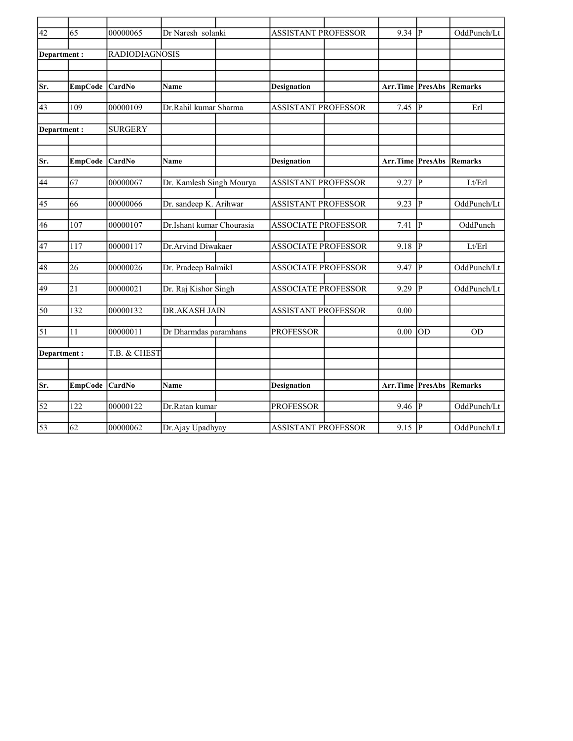| $\overline{42}$ | 65               | 00000065              | Dr Naresh solanki         | <b>ASSISTANT PROFESSOR</b> |  | 9.34                    | Iр      | OddPunch/Lt |
|-----------------|------------------|-----------------------|---------------------------|----------------------------|--|-------------------------|---------|-------------|
|                 |                  |                       |                           |                            |  |                         |         |             |
| Department:     |                  | <b>RADIODIAGNOSIS</b> |                           |                            |  |                         |         |             |
|                 |                  |                       |                           |                            |  |                         |         |             |
|                 |                  |                       |                           |                            |  |                         |         |             |
| Sr.             | <b>EmpCode</b>   | CardNo                | <b>Name</b>               | <b>Designation</b>         |  | <b>Arr.Time PresAbs</b> |         | Remarks     |
|                 |                  |                       |                           |                            |  |                         |         |             |
| 43              | 109              | 00000109              | Dr.Rahil kumar Sharma     | <b>ASSISTANT PROFESSOR</b> |  | 7.45                    | lР      | Erl         |
|                 |                  |                       |                           |                            |  |                         |         |             |
| Department:     |                  | <b>SURGERY</b>        |                           |                            |  |                         |         |             |
|                 |                  |                       |                           |                            |  |                         |         |             |
|                 |                  |                       |                           |                            |  |                         |         |             |
| Sr.             | <b>EmpCode</b>   | CardNo                | <b>Name</b>               | <b>Designation</b>         |  | Arr.Time                | PresAbs | Remarks     |
|                 |                  |                       |                           |                            |  |                         |         |             |
| 44              | 67               | 00000067              | Dr. Kamlesh Singh Mourya  | <b>ASSISTANT PROFESSOR</b> |  | 9.27                    | P       | Lt/Erl      |
|                 |                  |                       |                           |                            |  |                         |         |             |
| 45              | 66               | 00000066              | Dr. sandeep K. Arihwar    | <b>ASSISTANT PROFESSOR</b> |  | 9.23                    | l P     | OddPunch/Lt |
| 46              | 107              | 00000107              | Dr.Ishant kumar Chourasia |                            |  |                         | IР      | OddPunch    |
|                 |                  |                       |                           | <b>ASSOCIATE PROFESSOR</b> |  | 7.41                    |         |             |
| 47              | 117              | 00000117              | Dr.Arvind Diwakaer        | <b>ASSOCIATE PROFESSOR</b> |  | 9.18                    | P       | Lt/Erl      |
|                 |                  |                       |                           |                            |  |                         |         |             |
| 48              | 26               | 00000026              | Dr. Pradeep BalmikI       | <b>ASSOCIATE PROFESSOR</b> |  | 9.47                    | lр      | OddPunch/Lt |
|                 |                  |                       |                           |                            |  |                         |         |             |
| $\overline{49}$ | $\overline{21}$  | 00000021              | Dr. Raj Kishor Singh      | <b>ASSOCIATE PROFESSOR</b> |  | 9.29                    | IР      | OddPunch/Lt |
|                 |                  |                       |                           |                            |  |                         |         |             |
| 50              | 132              | 00000132              | DR.AKASH JAIN             | <b>ASSISTANT PROFESSOR</b> |  | 0.00                    |         |             |
|                 |                  |                       |                           |                            |  |                         |         |             |
| $\overline{51}$ | $\overline{11}$  | 00000011              | Dr Dharmdas paramhans     | <b>PROFESSOR</b>           |  | 0.00                    | lod     | <b>OD</b>   |
|                 |                  |                       |                           |                            |  |                         |         |             |
| Department:     |                  | T.B. & CHEST          |                           |                            |  |                         |         |             |
|                 |                  |                       |                           |                            |  |                         |         |             |
|                 |                  |                       |                           |                            |  |                         |         |             |
| Sr.             | <b>EmpCode</b>   | CardNo                | Name                      | <b>Designation</b>         |  | Arr.Time                | PresAbs | Remarks     |
|                 |                  |                       |                           |                            |  |                         |         |             |
| $\overline{52}$ | $\overline{122}$ | 00000122              | Dr.Ratan kumar            | <b>PROFESSOR</b>           |  | 9.46                    | IР      | OddPunch/Lt |
|                 |                  |                       |                           |                            |  |                         |         |             |
| $\overline{53}$ | 62               | 00000062              | Dr.Ajay Upadhyay          | <b>ASSISTANT PROFESSOR</b> |  | $9.15$ P                |         | OddPunch/Lt |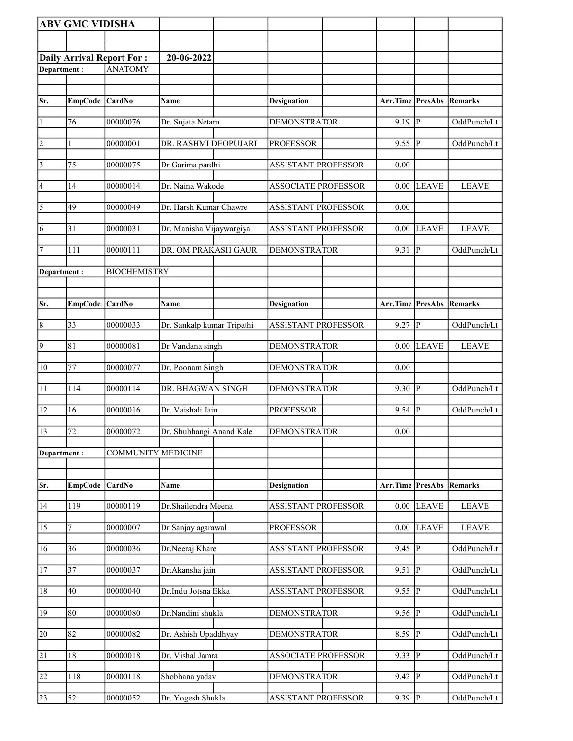|                 | <b>ABV GMC VIDISHA</b> |                                  |                            |                            |                                 |                         |              |
|-----------------|------------------------|----------------------------------|----------------------------|----------------------------|---------------------------------|-------------------------|--------------|
|                 |                        |                                  |                            |                            |                                 |                         |              |
|                 |                        | <b>Daily Arrival Report For:</b> | 20-06-2022                 |                            |                                 |                         |              |
| Department:     |                        | <b>ANATOMY</b>                   |                            |                            |                                 |                         |              |
|                 |                        |                                  |                            |                            |                                 |                         |              |
| Sr.             | EmpCode CardNo         |                                  | Name                       | <b>Designation</b>         | <b>Arr.Time PresAbs Remarks</b> |                         |              |
| $\vert$ 1       | 76                     | 00000076                         | Dr. Sujata Netam           | <b>DEMONSTRATOR</b>        | 9.19                            | P                       | OddPunch/Lt  |
| $\overline{2}$  |                        | 00000001                         | DR. RASHMI DEOPUJARI       | <b>PROFESSOR</b>           | 9.55                            | IР                      | OddPunch/Lt  |
| $\vert$ 3       | 75                     | 00000075                         | Dr Garima pardhi           | ASSISTANT PROFESSOR        | 0.00                            |                         |              |
| 4               | 14                     | 00000014                         | Dr. Naina Wakode           | <b>ASSOCIATE PROFESSOR</b> | 0.00                            | <b>LEAVE</b>            | <b>LEAVE</b> |
| $\overline{5}$  | 49                     | 00000049                         | Dr. Harsh Kumar Chawre     | <b>ASSISTANT PROFESSOR</b> | 0.00                            |                         |              |
| 6               | 31                     | 00000031                         | Dr. Manisha Vijaywargiya   | <b>ASSISTANT PROFESSOR</b> | 0.00                            | <b>LEAVE</b>            | <b>LEAVE</b> |
| 7               | 111                    | 00000111                         | DR. OM PRAKASH GAUR        | <b>DEMONSTRATOR</b>        | 9.31                            | P                       | OddPunch/Lt  |
| Department:     |                        | <b>BIOCHEMISTRY</b>              |                            |                            |                                 |                         |              |
|                 |                        |                                  |                            |                            |                                 |                         |              |
| Sr.             | EmpCode                | CardNo                           | Name                       | <b>Designation</b>         | Arr.Time                        | PresAbs                 | Remarks      |
| $\vert 8$       | 33                     | 00000033                         | Dr. Sankalp kumar Tripathi | <b>ASSISTANT PROFESSOR</b> | 9.27                            | $\overline{\mathbf{P}}$ | OddPunch/Lt  |
| $\overline{9}$  | 81                     | 00000081                         | Dr Vandana singh           | <b>DEMONSTRATOR</b>        | 0.00                            | <b>LEAVE</b>            | <b>LEAVE</b> |
| $ 10\rangle$    | 77                     | 00000077                         | Dr. Poonam Singh           | <b>DEMONSTRATOR</b>        | 0.00                            |                         |              |
| 11              | 114                    | 00000114                         | DR. BHAGWAN SINGH          | <b>DEMONSTRATOR</b>        | 9.30                            | P                       | OddPunch/Lt  |
| 12              | 16                     | 00000016                         | Dr. Vaishali Jain          | <b>PROFESSOR</b>           | 9.54                            | P                       | OddPunch/Lt  |
| 13              | 72                     | 00000072                         | Dr. Shubhangi Anand Kale   | <b>DEMONSTRATOR</b>        | 0.00                            |                         |              |
| Department:     |                        | <b>COMMUNITY MEDICINE</b>        |                            |                            |                                 |                         |              |
|                 |                        |                                  |                            |                            |                                 |                         |              |
| Sr.             | <b>EmpCode</b>         | CardNo                           | <b>Name</b>                | <b>Designation</b>         | Arr.Time PresAbs Remarks        |                         |              |
| 14              | 119                    | 00000119                         | Dr.Shailendra Meena        | <b>ASSISTANT PROFESSOR</b> | 0.00                            | <b>LEAVE</b>            | <b>LEAVE</b> |
| 15              | 7                      | 00000007                         | Dr Sanjay agarawal         | <b>PROFESSOR</b>           | 0.00                            | <b>LEAVE</b>            | <b>LEAVE</b> |
| 16              | 36                     | 00000036                         | Dr.Neeraj Khare            | <b>ASSISTANT PROFESSOR</b> | 9.45                            | $\mathbf{P}$            | OddPunch/Lt  |
| 17              | 37                     | 00000037                         | Dr.Akansha jain            | <b>ASSISTANT PROFESSOR</b> | 9.51                            | P                       | OddPunch/Lt  |
| 18              | 40                     | 00000040                         | Dr.Indu Jotsna Ekka        | <b>ASSISTANT PROFESSOR</b> | 9.55                            | P                       | OddPunch/Lt  |
| 19              | 80                     | 00000080                         | Dr.Nandini shukla          | <b>DEMONSTRATOR</b>        | 9.56                            | P                       | OddPunch/Lt  |
| $\overline{20}$ | $\overline{82}$        | 00000082                         | Dr. Ashish Upaddhyay       | <b>DEMONSTRATOR</b>        | 8.59                            | $\overline{P}$          | OddPunch/Lt  |
| 21              | 18                     | 00000018                         | Dr. Vishal Jamra           | <b>ASSOCIATE PROFESSOR</b> | 9.33                            | $\mathbf{P}$            | OddPunch/Lt  |
| $\overline{22}$ | 118                    | 00000118                         | Shobhana yadav             | <b>DEMONSTRATOR</b>        | 9.42                            | $\mathbf{P}$            | OddPunch/Lt  |
| 23              | 52                     | 00000052                         | Dr. Yogesh Shukla          | <b>ASSISTANT PROFESSOR</b> | $9.39$ P                        |                         | OddPunch/Lt  |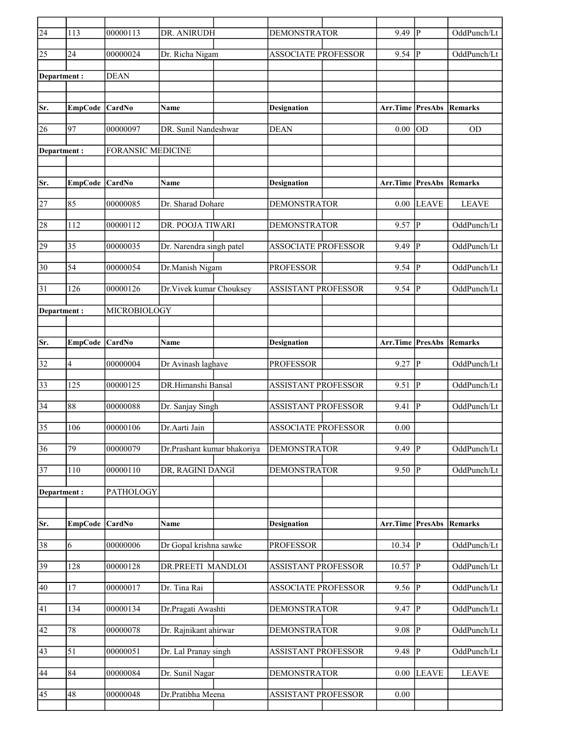| $\overline{24}$ | 113             | 00000113                 | DR. ANIRUDH                 | <b>DEMONSTRATOR</b>        | 9.49                            | P              | OddPunch/Lt    |
|-----------------|-----------------|--------------------------|-----------------------------|----------------------------|---------------------------------|----------------|----------------|
| 25              | 24              | 00000024                 | Dr. Richa Nigam             | <b>ASSOCIATE PROFESSOR</b> | 9.54                            | P              | OddPunch/Lt    |
| Department:     |                 | <b>DEAN</b>              |                             |                            |                                 |                |                |
|                 |                 |                          |                             |                            |                                 |                |                |
| Sr.             | EmpCode CardNo  |                          | Name                        | <b>Designation</b>         | <b>Arr.Time PresAbs Remarks</b> |                |                |
| 26              | 97              | 00000097                 | DR. Sunil Nandeshwar        | <b>DEAN</b>                | 0.00                            | OD             | <b>OD</b>      |
| Department:     |                 | <b>FORANSIC MEDICINE</b> |                             |                            |                                 |                |                |
|                 |                 |                          |                             |                            |                                 |                |                |
| Sr.             | EmpCode CardNo  |                          | Name                        | <b>Designation</b>         | Arr.Time                        | <b>PresAbs</b> | <b>Remarks</b> |
| 27              | 85              | 00000085                 | Dr. Sharad Dohare           | <b>DEMONSTRATOR</b>        | 0.00                            | <b>LEAVE</b>   | <b>LEAVE</b>   |
| 28              | 112             | 00000112                 | DR. POOJA TIWARI            | <b>DEMONSTRATOR</b>        | 9.57                            | P              | OddPunch/Lt    |
| 29              | 35              | 00000035                 | Dr. Narendra singh patel    | <b>ASSOCIATE PROFESSOR</b> | 9.49                            | P              | OddPunch/Lt    |
| 30              | 54              | 00000054                 | Dr.Manish Nigam             | <b>PROFESSOR</b>           | 9.54                            | P              | OddPunch/Lt    |
| 31              | 126             | 00000126                 | Dr. Vivek kumar Chouksey    | <b>ASSISTANT PROFESSOR</b> | 9.54                            | P              | OddPunch/Lt    |
|                 |                 |                          |                             |                            |                                 |                |                |
| Department :    |                 | MICROBIOLOGY             |                             |                            |                                 |                |                |
| Sr.             | EmpCode CardNo  |                          | Name                        | <b>Designation</b>         | Arr.Time                        | PresAbs        | Remarks        |
|                 |                 |                          |                             |                            |                                 |                |                |
| 32              | 4               | 00000004                 | Dr Avinash laghave          | <b>PROFESSOR</b>           | 9.27                            | P              | OddPunch/Lt    |
| 33              | 125             | 00000125                 | DR.Himanshi Bansal          | <b>ASSISTANT PROFESSOR</b> | 9.51                            | P              | OddPunch/Lt    |
| 34              | 88              | 00000088                 | Dr. Sanjay Singh            | <b>ASSISTANT PROFESSOR</b> | 9.41                            | P              | OddPunch/Lt    |
| 35              | 106             | 00000106                 | Dr.Aarti Jain               | <b>ASSOCIATE PROFESSOR</b> | 0.00                            |                |                |
| 36              | $\overline{79}$ | 00000079                 | Dr.Prashant kumar bhakoriya | <b>DEMONSTRATOR</b>        | 9.49                            | $\overline{P}$ | OddPunch/Lt    |
| 37              | $110\,$         | 00000110                 | DR, RAGINI DANGI            | <b>DEMONSTRATOR</b>        | $9.50$ P                        |                | OddPunch/Lt    |
| Department:     |                 | PATHOLOGY                |                             |                            |                                 |                |                |
|                 |                 |                          |                             |                            |                                 |                |                |
| Sr.             | <b>EmpCode</b>  | CardNo                   | Name                        | <b>Designation</b>         | Arr.Time                        | <b>PresAbs</b> | Remarks        |
| 38              | 6               | 00000006                 | Dr Gopal krishna sawke      | <b>PROFESSOR</b>           | $10.34$ P                       |                | OddPunch/Lt    |
| 39              | 128             | 00000128                 | DR.PREETI MANDLOI           | <b>ASSISTANT PROFESSOR</b> | 10.57                           | $\mathbf{P}$   | OddPunch/Lt    |
| 40              | 17              | 00000017                 | Dr. Tina Rai                | <b>ASSOCIATE PROFESSOR</b> | $9.56$ P                        |                | OddPunch/Lt    |
| 41              | 134             | 00000134                 | Dr.Pragati Awashti          | <b>DEMONSTRATOR</b>        | 9.47                            | $\mathbf P$    | OddPunch/Lt    |
| 42              | $78\,$          | 00000078                 | Dr. Rajnikant ahirwar       | <b>DEMONSTRATOR</b>        | 9.08                            | $\mathbf{P}$   | OddPunch/Lt    |
| 43              | 51              | 00000051                 | Dr. Lal Pranay singh        | ASSISTANT PROFESSOR        | 9.48                            | $\mathbf{P}$   | OddPunch/Lt    |
| 44              | 84              | 00000084                 | Dr. Sunil Nagar             | <b>DEMONSTRATOR</b>        | 0.00                            | <b>LEAVE</b>   | <b>LEAVE</b>   |
| 45              | 48              | 00000048                 | Dr.Pratibha Meena           | ASSISTANT PROFESSOR        | 0.00                            |                |                |
|                 |                 |                          |                             |                            |                                 |                |                |